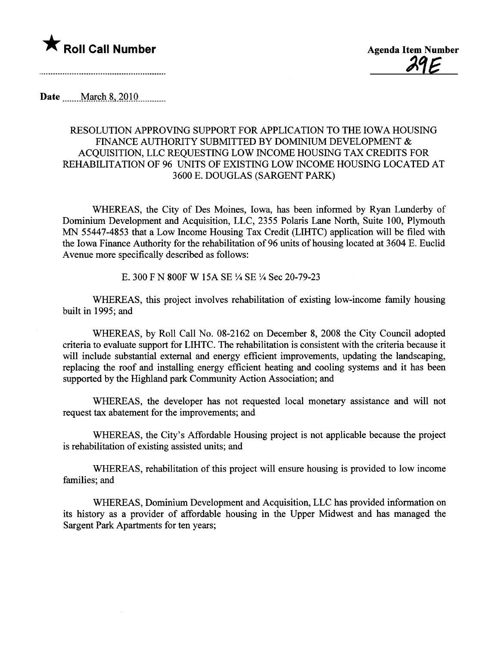

Date .\_\_.....M.clÇ-l1.S-L2QlQ\_\_\_\_\_\_\_\_\_\_\_.

## RESOLUTION APPROVING SUPPORT FOR APPLICATION TO THE IOWA HOUSING FINANCE AUTHORITY SUBMITTED BY DOMINIUM DEVELOPMENT & ACQUISITION, LLC REQUESTING LOW INCOME HOUSING TAX CREDITS FOR REHABILITATION OF 96 UNITS OF EXISTING LOW INCOME HOUSING LOCATED AT 3600 E. DOUGLAS (SARGENT PARK)

WHEREAS, the City of Des Moines, Iowa, has been informed by Ryan Lunderby of Dominium Development and Acquisition, LLC, 2355 Polaris Lane North, Suite 100, Plymouth MN 55447-4853 that a Low Income Housing Tax Credit (LIHTC) application will be filed with the Iowa Finance Authority for the rehabilitation of 96 units of housing located at 3604 E. Euclid Avenue more specifically described as follows:

E. 300 F N 800F W 15A SE Y4 SE Y4 Sec 20-79-23

WHEREAS, this project involves rehabiltation of existing low-income family housing built in 1995; and

WHEREAS, by Roll Call No. 08-2162 on December 8, 2008 the City Council adopted criteria to evaluate support for LIHTC. The rehabiltation is consistent with the criteria because it will include substantial external and energy efficient improvements, updating the landscaping, replacing the roof and installing energy efficient heating and cooling systems and it has been supported by the Highland park Communty Action Association; and

WHEREAS, the developer has not requested local monetary assistance and will not request tax abatement for the improvements; and

WHEREAS, the City's Affordable Housing project is not applicable because the project is rehabilitation of existing assisted units; and

WHEREAS, rehabilitation of this project will ensure housing is provided to low income families; and

WHEREAS, Dominium Development and Acquisition, LLC has provided information on its history as a provider of affordable housing in the Upper Midwest and has managed the Sargent Park Apartments for ten years;